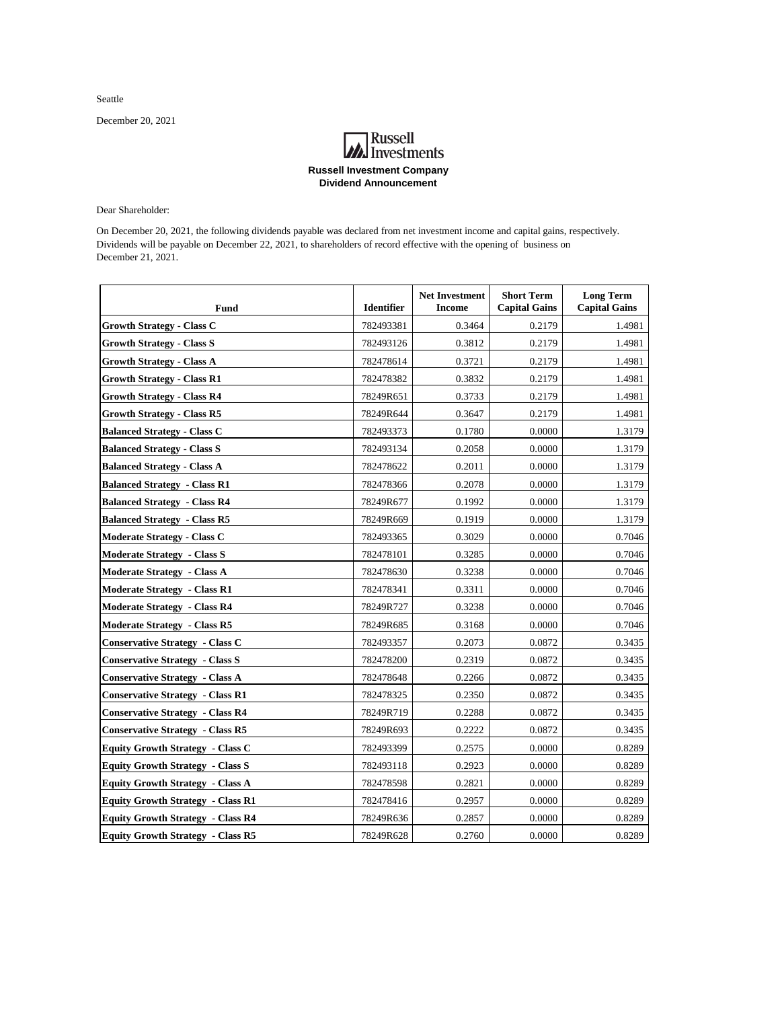Seattle

December 20, 2021

## **A**<br>Investments **Russell Investment Company Dividend Announcement**

Dear Shareholder:

 On December 20, 2021, the following dividends payable was declared from net investment income and capital gains, respectively. Dividends will be payable on December 22, 2021, to shareholders of record effective with the opening of business on December 21, 2021.

| <b>Fund</b>                              | <b>Identifier</b> | <b>Net Investment</b><br><b>Income</b> | <b>Short Term</b><br><b>Capital Gains</b> | <b>Long Term</b><br><b>Capital Gains</b> |
|------------------------------------------|-------------------|----------------------------------------|-------------------------------------------|------------------------------------------|
| <b>Growth Strategy - Class C</b>         | 782493381         | 0.3464                                 | 0.2179                                    | 1.4981                                   |
| <b>Growth Strategy - Class S</b>         | 782493126         | 0.3812                                 | 0.2179                                    | 1.4981                                   |
| <b>Growth Strategy - Class A</b>         | 782478614         | 0.3721                                 | 0.2179                                    | 1.4981                                   |
| <b>Growth Strategy - Class R1</b>        | 782478382         | 0.3832                                 | 0.2179                                    | 1.4981                                   |
| <b>Growth Strategy - Class R4</b>        | 78249R651         | 0.3733                                 | 0.2179                                    | 1.4981                                   |
| <b>Growth Strategy - Class R5</b>        | 78249R644         | 0.3647                                 | 0.2179                                    | 1.4981                                   |
| <b>Balanced Strategy - Class C</b>       | 782493373         | 0.1780                                 | 0.0000                                    | 1.3179                                   |
| <b>Balanced Strategy - Class S</b>       | 782493134         | 0.2058                                 | 0.0000                                    | 1.3179                                   |
| <b>Balanced Strategy - Class A</b>       | 782478622         | 0.2011                                 | 0.0000                                    | 1.3179                                   |
| <b>Balanced Strategy - Class R1</b>      | 782478366         | 0.2078                                 | 0.0000                                    | 1.3179                                   |
| <b>Balanced Strategy - Class R4</b>      | 78249R677         | 0.1992                                 | 0.0000                                    | 1.3179                                   |
| <b>Balanced Strategy - Class R5</b>      | 78249R669         | 0.1919                                 | 0.0000                                    | 1.3179                                   |
| <b>Moderate Strategy - Class C</b>       | 782493365         | 0.3029                                 | 0.0000                                    | 0.7046                                   |
| <b>Moderate Strategy - Class S</b>       | 782478101         | 0.3285                                 | 0.0000                                    | 0.7046                                   |
| <b>Moderate Strategy - Class A</b>       | 782478630         | 0.3238                                 | 0.0000                                    | 0.7046                                   |
| <b>Moderate Strategy - Class R1</b>      | 782478341         | 0.3311                                 | 0.0000                                    | 0.7046                                   |
| <b>Moderate Strategy - Class R4</b>      | 78249R727         | 0.3238                                 | 0.0000                                    | 0.7046                                   |
| <b>Moderate Strategy - Class R5</b>      | 78249R685         | 0.3168                                 | 0.0000                                    | 0.7046                                   |
| <b>Conservative Strategy - Class C</b>   | 782493357         | 0.2073                                 | 0.0872                                    | 0.3435                                   |
| <b>Conservative Strategy - Class S</b>   | 782478200         | 0.2319                                 | 0.0872                                    | 0.3435                                   |
| <b>Conservative Strategy - Class A</b>   | 782478648         | 0.2266                                 | 0.0872                                    | 0.3435                                   |
| <b>Conservative Strategy - Class R1</b>  | 782478325         | 0.2350                                 | 0.0872                                    | 0.3435                                   |
| <b>Conservative Strategy - Class R4</b>  | 78249R719         | 0.2288                                 | 0.0872                                    | 0.3435                                   |
| <b>Conservative Strategy - Class R5</b>  | 78249R693         | 0.2222                                 | 0.0872                                    | 0.3435                                   |
| <b>Equity Growth Strategy - Class C</b>  | 782493399         | 0.2575                                 | 0.0000                                    | 0.8289                                   |
| <b>Equity Growth Strategy - Class S</b>  | 782493118         | 0.2923                                 | 0.0000                                    | 0.8289                                   |
| <b>Equity Growth Strategy - Class A</b>  | 782478598         | 0.2821                                 | 0.0000                                    | 0.8289                                   |
| <b>Equity Growth Strategy - Class R1</b> | 782478416         | 0.2957                                 | 0.0000                                    | 0.8289                                   |
| <b>Equity Growth Strategy - Class R4</b> | 78249R636         | 0.2857                                 | 0.0000                                    | 0.8289                                   |
| <b>Equity Growth Strategy - Class R5</b> | 78249R628         | 0.2760                                 | 0.0000                                    | 0.8289                                   |